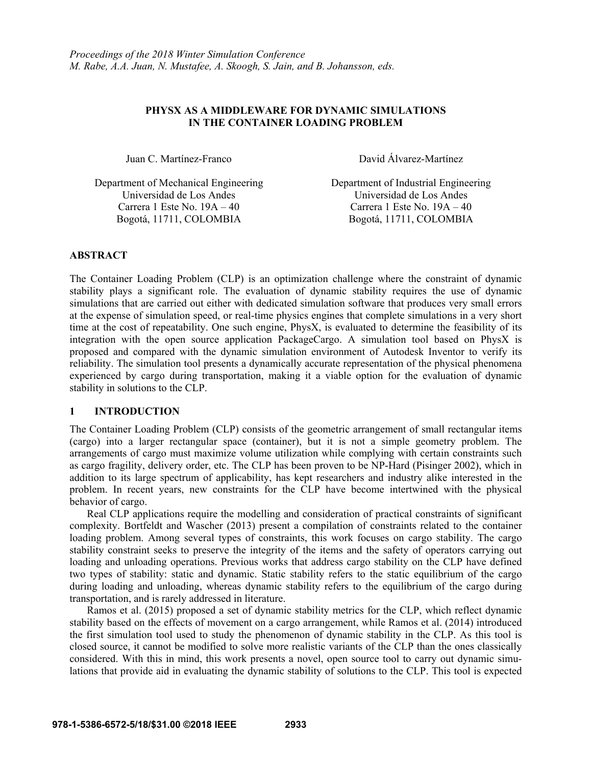### **PHYSX AS A MIDDLEWARE FOR DYNAMIC SIMULATIONS IN THE CONTAINER LOADING PROBLEM**

Juan C. Martínez-Franco David Álvarez-Martínez

Department of Mechanical Engineering Department of Industrial Engineering Universidad de Los Andes Universidad de Los Andes Carrera 1 Este No.  $19A - 40$  Carrera 1 Este No.  $19A - 40$ Bogotá, 11711, COLOMBIA Bogotá, 11711, COLOMBIA

## **ABSTRACT**

The Container Loading Problem (CLP) is an optimization challenge where the constraint of dynamic stability plays a significant role. The evaluation of dynamic stability requires the use of dynamic simulations that are carried out either with dedicated simulation software that produces very small errors at the expense of simulation speed, or real-time physics engines that complete simulations in a very short time at the cost of repeatability. One such engine, PhysX, is evaluated to determine the feasibility of its integration with the open source application PackageCargo. A simulation tool based on PhysX is proposed and compared with the dynamic simulation environment of Autodesk Inventor to verify its reliability. The simulation tool presents a dynamically accurate representation of the physical phenomena experienced by cargo during transportation, making it a viable option for the evaluation of dynamic stability in solutions to the CLP.

## **1 INTRODUCTION**

The Container Loading Problem (CLP) consists of the geometric arrangement of small rectangular items (cargo) into a larger rectangular space (container), but it is not a simple geometry problem. The arrangements of cargo must maximize volume utilization while complying with certain constraints such as cargo fragility, delivery order, etc. The CLP has been proven to be NP-Hard (Pisinger 2002), which in addition to its large spectrum of applicability, has kept researchers and industry alike interested in the problem. In recent years, new constraints for the CLP have become intertwined with the physical behavior of cargo.

Real CLP applications require the modelling and consideration of practical constraints of significant complexity. Bortfeldt and Wascher (2013) present a compilation of constraints related to the container loading problem. Among several types of constraints, this work focuses on cargo stability. The cargo stability constraint seeks to preserve the integrity of the items and the safety of operators carrying out loading and unloading operations. Previous works that address cargo stability on the CLP have defined two types of stability: static and dynamic. Static stability refers to the static equilibrium of the cargo during loading and unloading, whereas dynamic stability refers to the equilibrium of the cargo during transportation, and is rarely addressed in literature.

Ramos et al. (2015) proposed a set of dynamic stability metrics for the CLP, which reflect dynamic stability based on the effects of movement on a cargo arrangement, while Ramos et al. (2014) introduced the first simulation tool used to study the phenomenon of dynamic stability in the CLP. As this tool is closed source, it cannot be modified to solve more realistic variants of the CLP than the ones classically considered. With this in mind, this work presents a novel, open source tool to carry out dynamic simulations that provide aid in evaluating the dynamic stability of solutions to the CLP. This tool is expected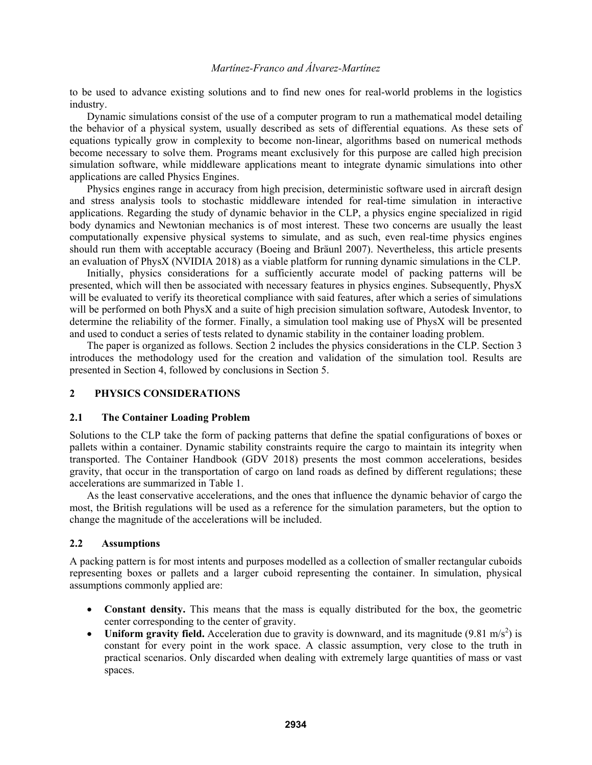to be used to advance existing solutions and to find new ones for real-world problems in the logistics industry.

Dynamic simulations consist of the use of a computer program to run a mathematical model detailing the behavior of a physical system, usually described as sets of differential equations. As these sets of equations typically grow in complexity to become non-linear, algorithms based on numerical methods become necessary to solve them. Programs meant exclusively for this purpose are called high precision simulation software, while middleware applications meant to integrate dynamic simulations into other applications are called Physics Engines.

Physics engines range in accuracy from high precision, deterministic software used in aircraft design and stress analysis tools to stochastic middleware intended for real-time simulation in interactive applications. Regarding the study of dynamic behavior in the CLP, a physics engine specialized in rigid body dynamics and Newtonian mechanics is of most interest. These two concerns are usually the least computationally expensive physical systems to simulate, and as such, even real-time physics engines should run them with acceptable accuracy (Boeing and Bräunl 2007). Nevertheless, this article presents an evaluation of PhysX (NVIDIA 2018) as a viable platform for running dynamic simulations in the CLP.

Initially, physics considerations for a sufficiently accurate model of packing patterns will be presented, which will then be associated with necessary features in physics engines. Subsequently, PhysX will be evaluated to verify its theoretical compliance with said features, after which a series of simulations will be performed on both PhysX and a suite of high precision simulation software, Autodesk Inventor, to determine the reliability of the former. Finally, a simulation tool making use of PhysX will be presented and used to conduct a series of tests related to dynamic stability in the container loading problem.

The paper is organized as follows. Section 2 includes the physics considerations in the CLP. Section 3 introduces the methodology used for the creation and validation of the simulation tool. Results are presented in Section 4, followed by conclusions in Section 5.

## **2 PHYSICS CONSIDERATIONS**

## **2.1 The Container Loading Problem**

Solutions to the CLP take the form of packing patterns that define the spatial configurations of boxes or pallets within a container. Dynamic stability constraints require the cargo to maintain its integrity when transported. The Container Handbook (GDV 2018) presents the most common accelerations, besides gravity, that occur in the transportation of cargo on land roads as defined by different regulations; these accelerations are summarized in Table 1.

As the least conservative accelerations, and the ones that influence the dynamic behavior of cargo the most, the British regulations will be used as a reference for the simulation parameters, but the option to change the magnitude of the accelerations will be included.

## **2.2 Assumptions**

A packing pattern is for most intents and purposes modelled as a collection of smaller rectangular cuboids representing boxes or pallets and a larger cuboid representing the container. In simulation, physical assumptions commonly applied are:

- **Constant density.** This means that the mass is equally distributed for the box, the geometric center corresponding to the center of gravity.
- Uniform gravity field. Acceleration due to gravity is downward, and its magnitude  $(9.81 \text{ m/s}^2)$  is constant for every point in the work space. A classic assumption, very close to the truth in practical scenarios. Only discarded when dealing with extremely large quantities of mass or vast spaces.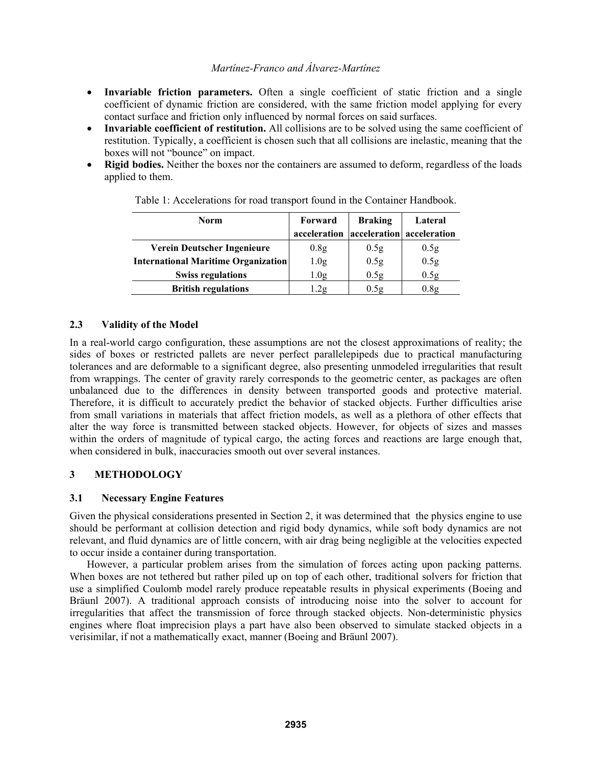- **Invariable friction parameters.** Often a single coefficient of static friction and a single coefficient of dynamic friction are considered, with the same friction model applying for every contact surface and friction only influenced by normal forces on said surfaces.
- **Invariable coefficient of restitution.** All collisions are to be solved using the same coefficient of restitution. Typically, a coefficient is chosen such that all collisions are inelastic, meaning that the boxes will not "bounce" on impact.
- **Rigid bodies.** Neither the boxes nor the containers are assumed to deform, regardless of the loads applied to them.

| <b>Norm</b>                                | Forward          | <b>Braking</b>   | Lateral                   |  |
|--------------------------------------------|------------------|------------------|---------------------------|--|
|                                            | acceleration     |                  | acceleration acceleration |  |
| Verein Deutscher Ingenieure                | 0.8 <sub>g</sub> | 0.5g             | 0.5g                      |  |
| <b>International Maritime Organization</b> | 1.0 <sub>g</sub> | 0.5g             | 0.5 <sub>g</sub>          |  |
| <b>Swiss regulations</b>                   | 1.0 <sub>g</sub> | 0.5 <sub>g</sub> | 0.5g                      |  |
| <b>British regulations</b>                 | .2g              | 0.5g             | 0.8g                      |  |

Table 1: Accelerations for road transport found in the Container Handbook.

#### **2.3 Validity of the Model**

In a real-world cargo configuration, these assumptions are not the closest approximations of reality; the sides of boxes or restricted pallets are never perfect parallelepipeds due to practical manufacturing tolerances and are deformable to a significant degree, also presenting unmodeled irregularities that result from wrappings. The center of gravity rarely corresponds to the geometric center, as packages are often unbalanced due to the differences in density between transported goods and protective material. Therefore, it is difficult to accurately predict the behavior of stacked objects. Further difficulties arise from small variations in materials that affect friction models, as well as a plethora of other effects that alter the way force is transmitted between stacked objects. However, for objects of sizes and masses within the orders of magnitude of typical cargo, the acting forces and reactions are large enough that, when considered in bulk, inaccuracies smooth out over several instances.

## **3 METHODOLOGY**

## **3.1 Necessary Engine Features**

Given the physical considerations presented in Section 2, it was determined that the physics engine to use should be performant at collision detection and rigid body dynamics, while soft body dynamics are not relevant, and fluid dynamics are of little concern, with air drag being negligible at the velocities expected to occur inside a container during transportation.

However, a particular problem arises from the simulation of forces acting upon packing patterns. When boxes are not tethered but rather piled up on top of each other, traditional solvers for friction that use a simplified Coulomb model rarely produce repeatable results in physical experiments (Boeing and Bräunl 2007). A traditional approach consists of introducing noise into the solver to account for irregularities that affect the transmission of force through stacked objects. Non-deterministic physics engines where float imprecision plays a part have also been observed to simulate stacked objects in a verisimilar, if not a mathematically exact, manner (Boeing and Bräunl 2007).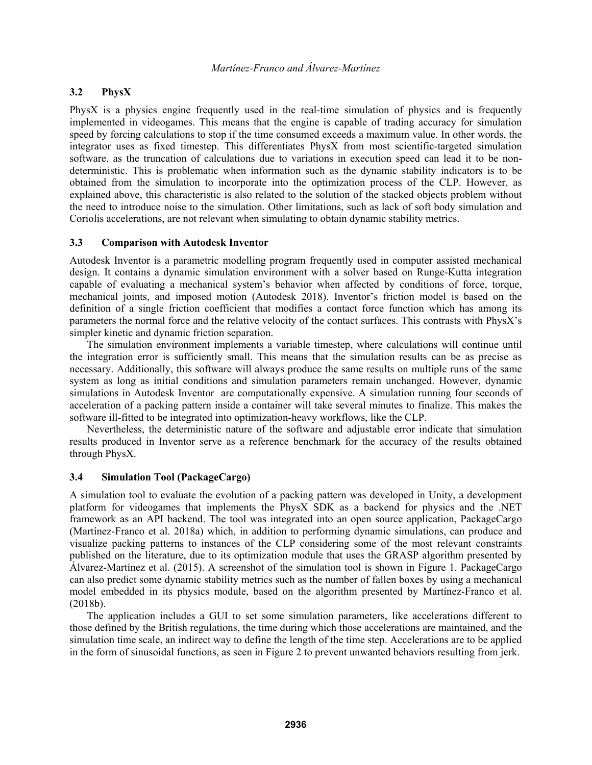#### **3.2 PhysX**

PhysX is a physics engine frequently used in the real-time simulation of physics and is frequently implemented in videogames. This means that the engine is capable of trading accuracy for simulation speed by forcing calculations to stop if the time consumed exceeds a maximum value. In other words, the integrator uses as fixed timestep. This differentiates PhysX from most scientific-targeted simulation software, as the truncation of calculations due to variations in execution speed can lead it to be nondeterministic. This is problematic when information such as the dynamic stability indicators is to be obtained from the simulation to incorporate into the optimization process of the CLP. However, as explained above, this characteristic is also related to the solution of the stacked objects problem without the need to introduce noise to the simulation. Other limitations, such as lack of soft body simulation and Coriolis accelerations, are not relevant when simulating to obtain dynamic stability metrics.

#### **3.3 Comparison with Autodesk Inventor**

Autodesk Inventor is a parametric modelling program frequently used in computer assisted mechanical design. It contains a dynamic simulation environment with a solver based on Runge-Kutta integration capable of evaluating a mechanical system's behavior when affected by conditions of force, torque, mechanical joints, and imposed motion (Autodesk 2018). Inventor's friction model is based on the definition of a single friction coefficient that modifies a contact force function which has among its parameters the normal force and the relative velocity of the contact surfaces. This contrasts with PhysX's simpler kinetic and dynamic friction separation.

The simulation environment implements a variable timestep, where calculations will continue until the integration error is sufficiently small. This means that the simulation results can be as precise as necessary. Additionally, this software will always produce the same results on multiple runs of the same system as long as initial conditions and simulation parameters remain unchanged. However, dynamic simulations in Autodesk Inventor are computationally expensive. A simulation running four seconds of acceleration of a packing pattern inside a container will take several minutes to finalize. This makes the software ill-fitted to be integrated into optimization-heavy workflows, like the CLP.

Nevertheless, the deterministic nature of the software and adjustable error indicate that simulation results produced in Inventor serve as a reference benchmark for the accuracy of the results obtained through PhysX.

### **3.4 Simulation Tool (PackageCargo)**

A simulation tool to evaluate the evolution of a packing pattern was developed in Unity, a development platform for videogames that implements the PhysX SDK as a backend for physics and the .NET framework as an API backend. The tool was integrated into an open source application, PackageCargo (Martínez-Franco et al. 2018a) which, in addition to performing dynamic simulations, can produce and visualize packing patterns to instances of the CLP considering some of the most relevant constraints published on the literature, due to its optimization module that uses the GRASP algorithm presented by Álvarez-Martínez et al. (2015). A screenshot of the simulation tool is shown in Figure 1. PackageCargo can also predict some dynamic stability metrics such as the number of fallen boxes by using a mechanical model embedded in its physics module, based on the algorithm presented by Martínez-Franco et al. (2018b).

The application includes a GUI to set some simulation parameters, like accelerations different to those defined by the British regulations, the time during which those accelerations are maintained, and the simulation time scale, an indirect way to define the length of the time step. Accelerations are to be applied in the form of sinusoidal functions, as seen in Figure 2 to prevent unwanted behaviors resulting from jerk.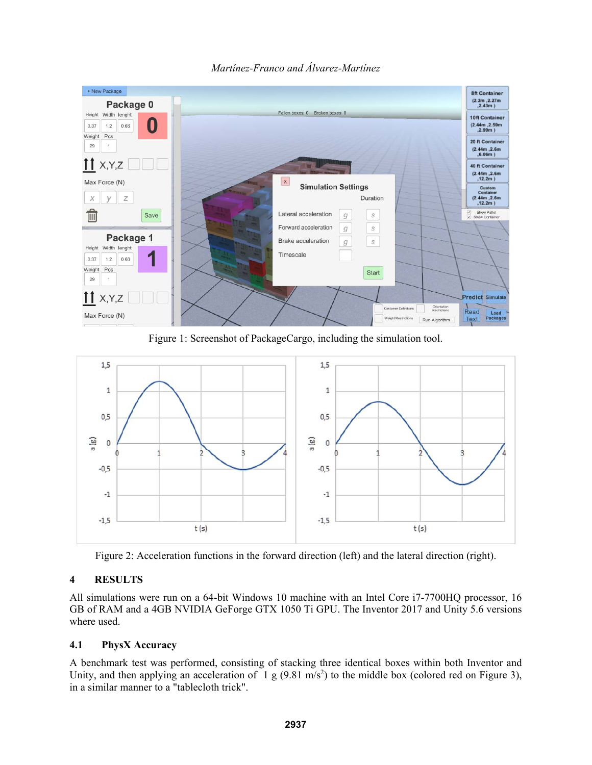

*Martínez-Franco and Álvarez-Martínez* 

Figure 1: Screenshot of PackageCargo, including the simulation tool.



Figure 2: Acceleration functions in the forward direction (left) and the lateral direction (right).

# **4 RESULTS**

All simulations were run on a 64-bit Windows 10 machine with an Intel Core i7-7700HQ processor, 16 GB of RAM and a 4GB NVIDIA GeForge GTX 1050 Ti GPU. The Inventor 2017 and Unity 5.6 versions where used.

# **4.1 PhysX Accuracy**

A benchmark test was performed, consisting of stacking three identical boxes within both Inventor and Unity, and then applying an acceleration of 1 g (9.81 m/s<sup>2</sup>) to the middle box (colored red on Figure 3), in a similar manner to a "tablecloth trick".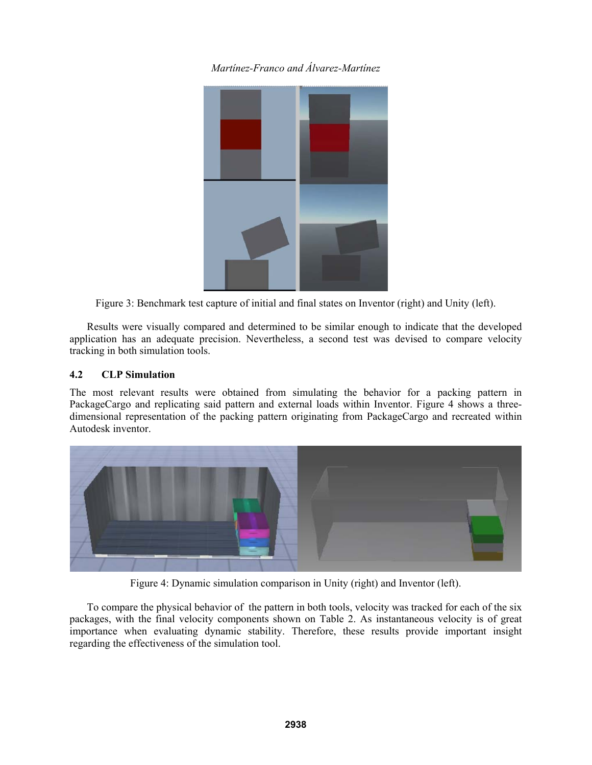

Figure 3: Benchmark test capture of initial and final states on Inventor (right) and Unity (left).

Results were visually compared and determined to be similar enough to indicate that the developed application has an adequate precision. Nevertheless, a second test was devised to compare velocity tracking in both simulation tools.

## **4.2 CLP Simulation**

The most relevant results were obtained from simulating the behavior for a packing pattern in PackageCargo and replicating said pattern and external loads within Inventor. Figure 4 shows a threedimensional representation of the packing pattern originating from PackageCargo and recreated within Autodesk inventor.



Figure 4: Dynamic simulation comparison in Unity (right) and Inventor (left).

To compare the physical behavior of the pattern in both tools, velocity was tracked for each of the six packages, with the final velocity components shown on Table 2. As instantaneous velocity is of great importance when evaluating dynamic stability. Therefore, these results provide important insight regarding the effectiveness of the simulation tool.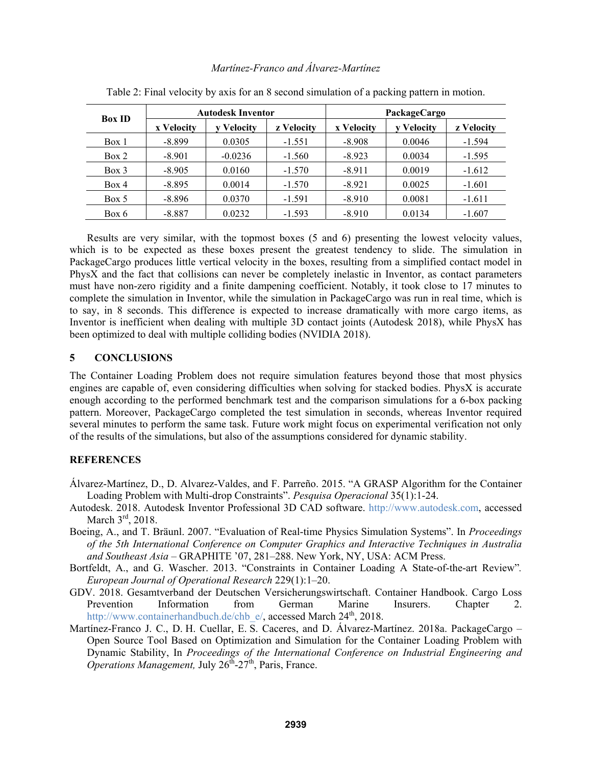| <b>Box ID</b> | <b>Autodesk Inventor</b> |                 | PackageCargo |            |                 |            |
|---------------|--------------------------|-----------------|--------------|------------|-----------------|------------|
|               | x Velocity               | <b>Velocity</b> | z Velocity   | x Velocity | <b>Velocity</b> | z Velocity |
| Box 1         | $-8.899$                 | 0.0305          | $-1.551$     | $-8.908$   | 0.0046          | $-1.594$   |
| Box 2         | $-8.901$                 | $-0.0236$       | $-1.560$     | $-8.923$   | 0.0034          | $-1.595$   |
| $Box$ 3       | $-8.905$                 | 0.0160          | $-1.570$     | $-8.911$   | 0.0019          | $-1.612$   |
| Box 4         | $-8.895$                 | 0.0014          | $-1.570$     | $-8.921$   | 0.0025          | $-1.601$   |
| Box 5         | $-8.896$                 | 0.0370          | $-1.591$     | $-8.910$   | 0.0081          | $-1.611$   |
| Box 6         | $-8.887$                 | 0.0232          | $-1.593$     | $-8.910$   | 0.0134          | $-1.607$   |

Table 2: Final velocity by axis for an 8 second simulation of a packing pattern in motion.

Results are very similar, with the topmost boxes (5 and 6) presenting the lowest velocity values, which is to be expected as these boxes present the greatest tendency to slide. The simulation in PackageCargo produces little vertical velocity in the boxes, resulting from a simplified contact model in PhysX and the fact that collisions can never be completely inelastic in Inventor, as contact parameters must have non-zero rigidity and a finite dampening coefficient. Notably, it took close to 17 minutes to complete the simulation in Inventor, while the simulation in PackageCargo was run in real time, which is to say, in 8 seconds. This difference is expected to increase dramatically with more cargo items, as Inventor is inefficient when dealing with multiple 3D contact joints (Autodesk 2018), while PhysX has been optimized to deal with multiple colliding bodies (NVIDIA 2018).

#### **5 CONCLUSIONS**

The Container Loading Problem does not require simulation features beyond those that most physics engines are capable of, even considering difficulties when solving for stacked bodies. PhysX is accurate enough according to the performed benchmark test and the comparison simulations for a 6-box packing pattern. Moreover, PackageCargo completed the test simulation in seconds, whereas Inventor required several minutes to perform the same task. Future work might focus on experimental verification not only of the results of the simulations, but also of the assumptions considered for dynamic stability.

## **REFERENCES**

- Álvarez-Martínez, D., D. Alvarez-Valdes, and F. Parreño. 2015. "A GRASP Algorithm for the Container Loading Problem with Multi-drop Constraints". *Pesquisa Operacional* 35(1):1-24.
- Autodesk. 2018. Autodesk Inventor Professional 3D CAD software. http://www.autodesk.com, accessed March 3<sup>rd</sup>, 2018.
- Boeing, A., and T. Bräunl. 2007. "Evaluation of Real-time Physics Simulation Systems". In *Proceedings of the 5th International Conference on Computer Graphics and Interactive Techniques in Australia*  and Southeast Asia – GRAPHITE '07, 281–288. New York, NY, USA: ACM Press.
- Bortfeldt, A., and G. Wascher. 2013. "Constraints in Container Loading A State-of-the-art Review"*. European Journal of Operational Research* 229(1):1–20.
- GDV. 2018. Gesamtverband der Deutschen Versicherungswirtschaft. Container Handbook. Cargo Loss Prevention Information from German Marine Insurers. Chapter 2. http://www.containerhandbuch.de/chb\_e/, accessed March 24<sup>th</sup>, 2018.
- Martínez-Franco J. C., D. H. Cuellar, E. S. Caceres, and D. Álvarez-Martínez. 2018a. PackageCargo Open Source Tool Based on Optimization and Simulation for the Container Loading Problem with Dynamic Stability, In *Proceedings of the International Conference on Industrial Engineering and Operations Management,* July  $26^{th}$ - $27^{th}$ , Paris, France.